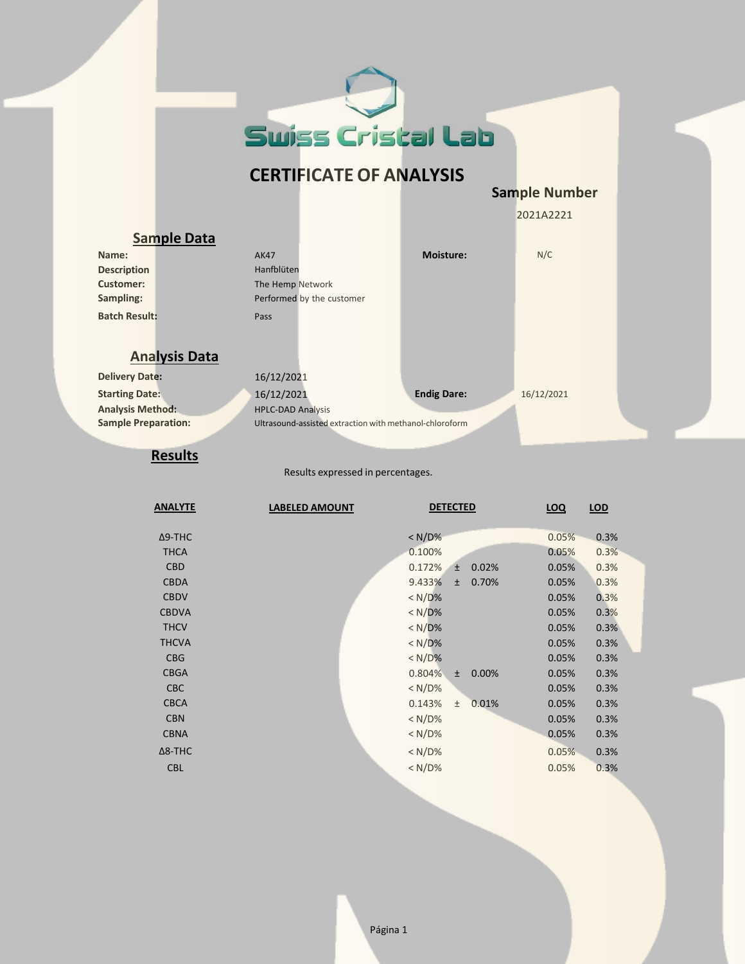

## **CERTIFICATE OF ANALYSIS**

**Sample Number**

2021A2221

| <b>Sample Data</b>         |                                                         |                    |            |  |
|----------------------------|---------------------------------------------------------|--------------------|------------|--|
| Name:                      | <b>AK47</b>                                             | <b>Moisture:</b>   | N/C        |  |
| <b>Description</b>         | Hanfblüten                                              |                    |            |  |
| <b>Customer:</b>           | The Hemp Network                                        |                    |            |  |
| Sampling:                  | Performed by the customer                               |                    |            |  |
| <b>Batch Result:</b>       | Pass                                                    |                    |            |  |
|                            |                                                         |                    |            |  |
| <b>Analysis Data</b>       |                                                         |                    |            |  |
|                            |                                                         |                    |            |  |
| <b>Delivery Date:</b>      | 16/12/2021                                              |                    |            |  |
| <b>Starting Date:</b>      | 16/12/2021                                              | <b>Endig Dare:</b> | 16/12/2021 |  |
| <b>Analysis Method:</b>    | <b>HPLC-DAD Analysis</b>                                |                    |            |  |
| <b>Sample Preparation:</b> | Ultrasound-assisted extraction with methanol-chloroform |                    |            |  |
|                            |                                                         |                    |            |  |

## **Results**

Results expressed in percentages.

| <b>ANALYTE</b> | <b>LABELED AMOUNT</b> | <b>DETECTED</b>          | <b>LOQ</b> | LOD  |
|----------------|-----------------------|--------------------------|------------|------|
|                |                       |                          |            |      |
| $\Delta$ 9-THC |                       | $< N/D\%$                | 0.05%      | 0.3% |
| <b>THCA</b>    |                       | 0.100%                   | 0.05%      | 0.3% |
| <b>CBD</b>     |                       | 0.172%<br>0.02%<br>$\pm$ | 0.05%      | 0.3% |
| <b>CBDA</b>    |                       | 9.433%<br>0.70%<br>$\pm$ | 0.05%      | 0.3% |
| <b>CBDV</b>    |                       | $< N/D\%$                | 0.05%      | 0.3% |
| <b>CBDVA</b>   |                       | $< N/D\%$                | 0.05%      | 0.3% |
| <b>THCV</b>    |                       | < N/D%                   | 0.05%      | 0.3% |
| <b>THCVA</b>   |                       | < N/D%                   | 0.05%      | 0.3% |
| <b>CBG</b>     |                       | $< N/D\%$                | 0.05%      | 0.3% |
| <b>CBGA</b>    |                       | 0.804%<br>0.00%<br>$\pm$ | 0.05%      | 0.3% |
| <b>CBC</b>     |                       | $< N/D$ %                | 0.05%      | 0.3% |
| <b>CBCA</b>    |                       | 0.143%<br>0.01%<br>$\pm$ | 0.05%      | 0.3% |
| <b>CBN</b>     |                       | < N/D%                   | 0.05%      | 0.3% |
| <b>CBNA</b>    |                       | < N/D%                   | 0.05%      | 0.3% |
| $\Delta$ 8-THC |                       | $< N/D$ %                | 0.05%      | 0.3% |
| <b>CBL</b>     |                       | $< N/D$ %                | 0.05%      | 0.3% |
|                |                       |                          |            |      |